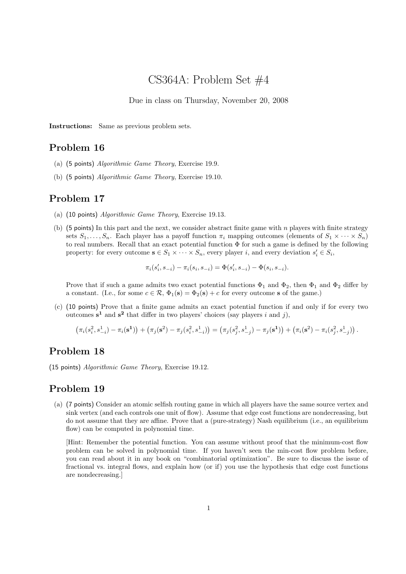# CS364A: Problem Set #4

Due in class on Thursday, November 20, 2008

Instructions: Same as previous problem sets.

## Problem 16

- (a) (5 points) Algorithmic Game Theory, Exercise 19.9.
- (b) (5 points) Algorithmic Game Theory, Exercise 19.10.

#### Problem 17

- (a) (10 points) Algorithmic Game Theory, Exercise 19.13.
- (b) (5 points) In this part and the next, we consider abstract finite game with n players with finite strategy sets  $S_1, \ldots, S_n$ . Each player has a payoff function  $\pi_i$  mapping outcomes (elements of  $S_1 \times \cdots \times S_n$ ) to real numbers. Recall that an exact potential function  $\Phi$  for such a game is defined by the following property: for every outcome  $\mathbf{s} \in S_1 \times \cdots \times S_n$ , every player i, and every deviation  $s'_i \in S_i$ ,

$$
\pi_i(s'_i, s_{-i}) - \pi_i(s_i, s_{-i}) = \Phi(s'_i, s_{-i}) - \Phi(s_i, s_{-i}).
$$

Prove that if such a game admits two exact potential functions  $\Phi_1$  and  $\Phi_2$ , then  $\Phi_1$  and  $\Phi_2$  differ by a constant. (I.e., for some  $c \in \mathcal{R}$ ,  $\Phi_1(\mathbf{s}) = \Phi_2(\mathbf{s}) + c$  for every outcome s of the game.)

(c) (10 points) Prove that a finite game admits an exact potential function if and only if for every two outcomes  $s^1$  and  $s^2$  that differ in two players' choices (say players i and j),

$$
\left(\pi_i(s_i^2, s_{-i}^1) - \pi_i(\mathbf{s}^1)\right) + \left(\pi_j(\mathbf{s}^2) - \pi_j(s_i^2, s_{-i}^1)\right) = \left(\pi_j(s_j^2, s_{-j}^1) - \pi_j(\mathbf{s}^1)\right) + \left(\pi_i(\mathbf{s}^2) - \pi_i(s_j^2, s_{-j}^1)\right).
$$

#### Problem 18

(15 points) Algorithmic Game Theory, Exercise 19.12.

### Problem 19

(a) (7 points) Consider an atomic selfish routing game in which all players have the same source vertex and sink vertex (and each controls one unit of flow). Assume that edge cost functions are nondecreasing, but do not assume that they are affine. Prove that a (pure-strategy) Nash equilibrium (i.e., an equilibrium flow) can be computed in polynomial time.

[Hint: Remember the potential function. You can assume without proof that the minimum-cost flow problem can be solved in polynomial time. If you haven't seen the min-cost flow problem before, you can read about it in any book on "combinatorial optimization". Be sure to discuss the issue of fractional vs. integral flows, and explain how (or if) you use the hypothesis that edge cost functions are nondecreasing.]